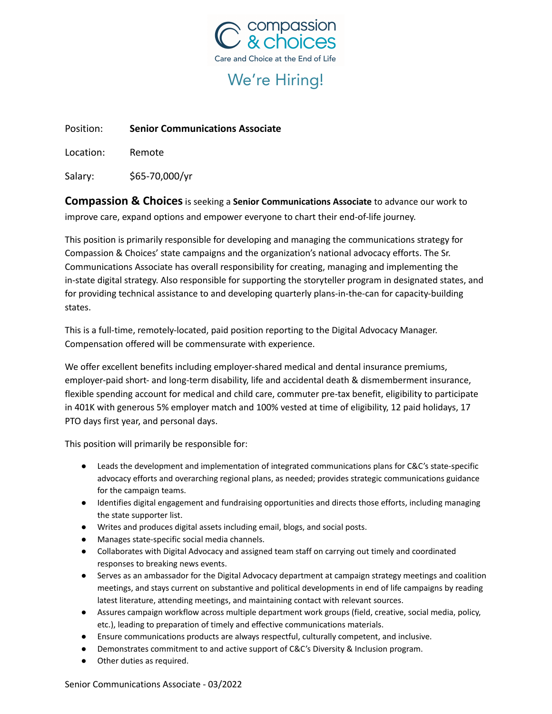

# We're Hiring!

Position: **Senior Communications Associate**

Location: Remote

Salary: \$65-70,000/yr

**Compassion & Choices**is seeking a **Senior Communications Associate** to advance our work to improve care, expand options and empower everyone to chart their end-of-life journey.

This position is primarily responsible for developing and managing the communications strategy for Compassion & Choices' state campaigns and the organization's national advocacy efforts. The Sr. Communications Associate has overall responsibility for creating, managing and implementing the in-state digital strategy. Also responsible for supporting the storyteller program in designated states, and for providing technical assistance to and developing quarterly plans-in-the-can for capacity-building states.

This is a full-time, remotely-located, paid position reporting to the Digital Advocacy Manager. Compensation offered will be commensurate with experience.

We offer excellent benefits including employer-shared medical and dental insurance premiums, employer-paid short- and long-term disability, life and accidental death & dismemberment insurance, flexible spending account for medical and child care, commuter pre-tax benefit, eligibility to participate in 401K with generous 5% employer match and 100% vested at time of eligibility, 12 paid holidays, 17 PTO days first year, and personal days.

This position will primarily be responsible for:

- Leads the development and implementation of integrated communications plans for C&C's state-specific advocacy efforts and overarching regional plans, as needed; provides strategic communications guidance for the campaign teams.
- Identifies digital engagement and fundraising opportunities and directs those efforts, including managing the state supporter list.
- Writes and produces digital assets including email, blogs, and social posts.
- Manages state-specific social media channels.
- Collaborates with Digital Advocacy and assigned team staff on carrying out timely and coordinated responses to breaking news events.
- Serves as an ambassador for the Digital Advocacy department at campaign strategy meetings and coalition meetings, and stays current on substantive and political developments in end of life campaigns by reading latest literature, attending meetings, and maintaining contact with relevant sources.
- Assures campaign workflow across multiple department work groups (field, creative, social media, policy, etc.), leading to preparation of timely and effective communications materials.
- Ensure communications products are always respectful, culturally competent, and inclusive.
- Demonstrates commitment to and active support of C&C's Diversity & Inclusion program.
- Other duties as required.

Senior Communications Associate - 03/2022